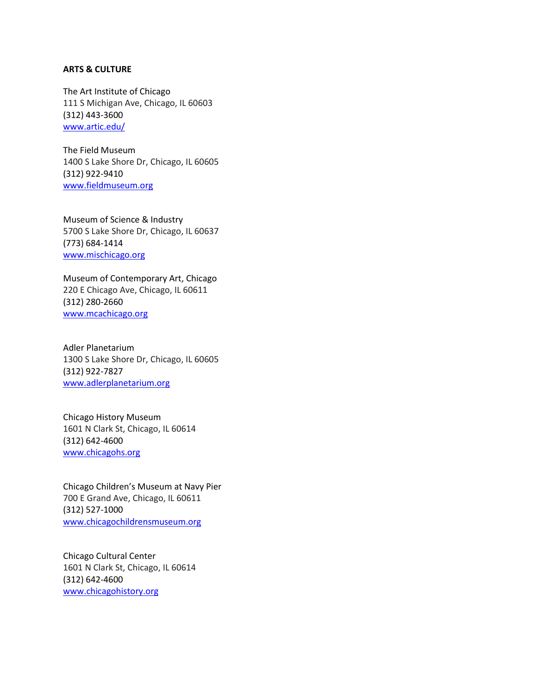#### **ARTS & CULTURE**

The Art Institute of Chicago 111 S Michigan Ave, Chicago, IL 60603 (312) 443-3600 [www.artic.edu/](http://www.artic.edu/)

The Field Museum 1400 S Lake Shore Dr, Chicago, IL 60605 (312) 922-9410 [www.fieldmuseum.org](http://www.fieldmuseum.org/)

Museum of Science & Industry 5700 S Lake Shore Dr, Chicago, IL 60637 (773) 684-1414 [www.mischicago.org](http://www.mischicago.org/)

Museum of Contemporary Art, Chicago 220 E Chicago Ave, Chicago, IL 60611 (312) 280-2660 [www.mcachicago.org](http://www.mcachicago.org/)

Adler Planetarium 1300 S Lake Shore Dr, Chicago, IL 60605 (312) 922-7827 [www.adlerplanetarium.org](http://www.adlerplanetarium.org/)

Chicago History Museum 1601 N Clark St, Chicago, IL 60614 (312) 642-4600 [www.chicagohs.org](http://www.chicagohs.org/)

Chicago Children's Museum at Navy Pier 700 E Grand Ave, Chicago, IL 60611 (312) 527-1000 [www.chicagochildrensmuseum.org](http://www.chicagochildrensmuseum.org/)

Chicago Cultural Center 1601 N Clark St, Chicago, IL 60614 (312) 642-4600 [www.chicagohistory.org](http://www.chicagohistory.org/)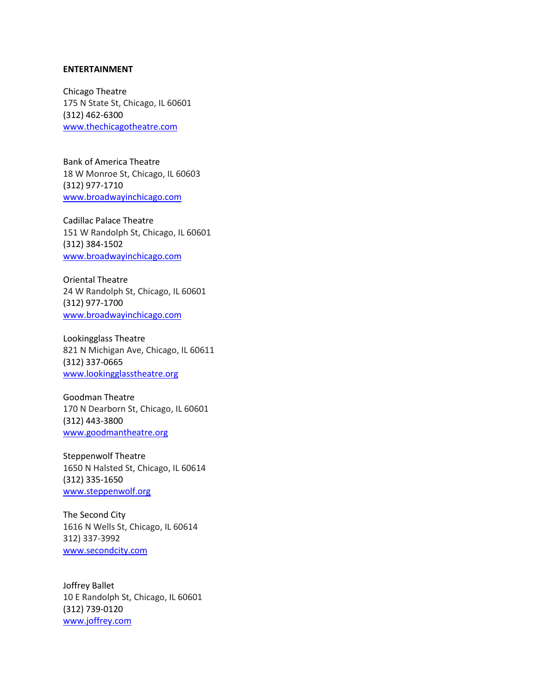#### **ENTERTAINMENT**

Chicago Theatre 175 N State St, Chicago, IL 60601 (312) 462-6300 [www.thechicagotheatre.com](http://www.thechicagotheatre.com/)

Bank of America Theatre 18 W Monroe St, Chicago, IL 60603 (312) 977-1710 [www.broadwayinchicago.com](http://www.broadwayinchicago.com/)

Cadillac Palace Theatre 151 W Randolph St, Chicago, IL 60601 (312) 384-1502 [www.broadwayinchicago.com](http://www.broadwayinchicago.com/)

Oriental Theatre 24 W Randolph St, Chicago, IL 60601 (312) 977-1700 [www.broadwayinchicago.com](http://www.broadwayinchicago.com/)

Lookingglass Theatre 821 N Michigan Ave, Chicago, IL 60611 (312) 337-0665 [www.lookingglasstheatre.org](http://www.lookingglasstheatre.org/)

Goodman Theatre 170 N Dearborn St, Chicago, IL 60601 (312) 443-3800 [www.goodmantheatre.org](http://www.goodmantheatre.org/)

Steppenwolf Theatre 1650 N Halsted St, Chicago, IL 60614 (312) 335-1650 [www.steppenwolf.org](http://www.steppenwolf.org/)

The Second City 1616 N Wells St, Chicago, IL 60614 312) 337-3992 [www.secondcity.com](http://www.secondcity.com/)

Joffrey Ballet 10 E Randolph St, Chicago, IL 60601 (312) 739-0120 [www.joffrey.com](http://www.joffrey.com/)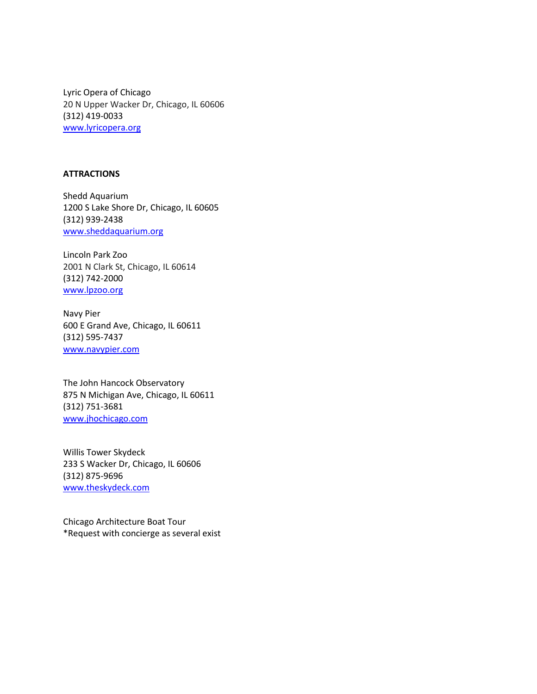Lyric Opera of Chicago 20 N Upper Wacker Dr, Chicago, IL 60606 (312) 419-0033 [www.lyricopera.org](http://www.lyricopera.org/)

# **ATTRACTIONS**

Shedd Aquarium 1200 S Lake Shore Dr, Chicago, IL 60605 (312) 939-2438 [www.sheddaquarium.org](http://www.sheddaquarium.org/)

Lincoln Park Zoo 2001 N Clark St, Chicago, IL 60614 (312) 742-2000 [www.lpzoo.org](http://www.lpzoo.org/)

Navy Pier 600 E Grand Ave, Chicago, IL 60611 (312) 595-7437 [www.navypier.com](http://www.navypier.com/)

The John Hancock Observatory 875 N Michigan Ave, Chicago, IL 60611 (312) 751-3681 [www.jhochicago.com](http://www.jhochicago.com/)

Willis Tower Skydeck 233 S Wacker Dr, Chicago, IL 60606 (312) 875-9696 [www.theskydeck.com](http://www.theskydeck.com/)

Chicago Architecture Boat Tour \*Request with concierge as several exist